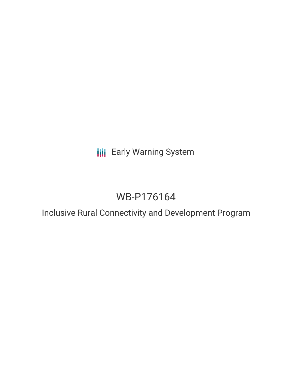**III** Early Warning System

# WB-P176164

Inclusive Rural Connectivity and Development Program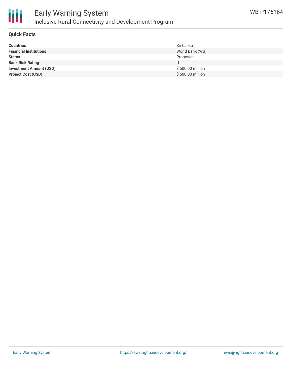

#### **Quick Facts**

| <b>Countries</b>               | Sri Lanka         |
|--------------------------------|-------------------|
| <b>Financial Institutions</b>  | World Bank (WB)   |
| <b>Status</b>                  | Proposed          |
| <b>Bank Risk Rating</b>        | U                 |
| <b>Investment Amount (USD)</b> | \$ 500.00 million |
| <b>Project Cost (USD)</b>      | \$500.00 million  |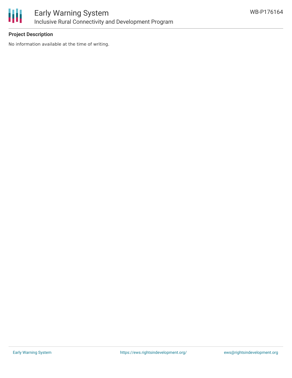

## **Project Description**

No information available at the time of writing.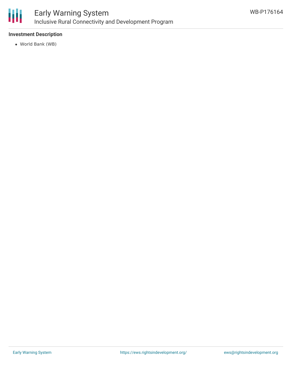

#### **Investment Description**

World Bank (WB)